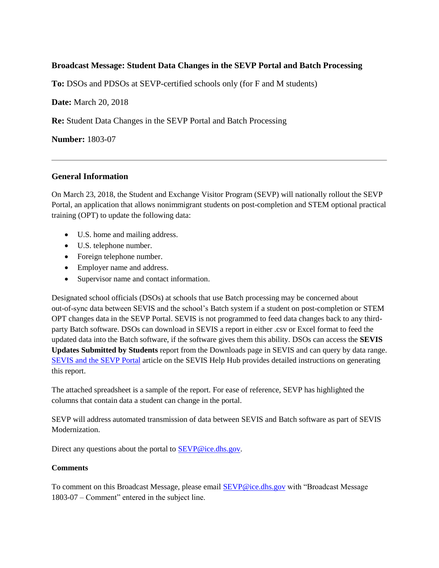## **Broadcast Message: Student Data Changes in the SEVP Portal and Batch Processing**

**To:** DSOs and PDSOs at SEVP-certified schools only (for F and M students)

**Date:** March 20, 2018

**Re:** Student Data Changes in the SEVP Portal and Batch Processing

**Number:** 1803-07

## **General Information**

On March 23, 2018, the Student and Exchange Visitor Program (SEVP) will nationally rollout the SEVP Portal, an application that allows nonimmigrant students on post-completion and STEM optional practical training (OPT) to update the following data:

- U.S. home and mailing address.
- U.S. telephone number.
- Foreign telephone number.
- Employer name and address.
- Supervisor name and contact information.

Designated school officials (DSOs) at schools that use Batch processing may be concerned about out-of-sync data between SEVIS and the school's Batch system if a student on post-completion or STEM OPT changes data in the SEVP Portal. SEVIS is not programmed to feed data changes back to any thirdparty Batch software. DSOs can download in SEVIS a report in either .csv or Excel format to feed the updated data into the Batch software, if the software gives them this ability. DSOs can access the **SEVIS Updates Submitted by Students** report from the Downloads page in SEVIS and can query by data range. [SEVIS and the SEVP Portal](https://studyinthestates.dhs.gov/sevis-help-hub/student-records/fm-student-employment/sevis-and-the-sevp-portal) article on the SEVIS Help Hub provides detailed instructions on generating this report.

The attached spreadsheet is a sample of the report. For ease of reference, SEVP has highlighted the columns that contain data a student can change in the portal.

SEVP will address automated transmission of data between SEVIS and Batch software as part of SEVIS Modernization.

Direct any questions about the portal to **SEVP@ice.dhs.gov.** 

## **Comments**

To comment on this Broadcast Message, please email **SEVP@ice.dhs.gov** with "Broadcast Message 1803-07 – Comment" entered in the subject line.